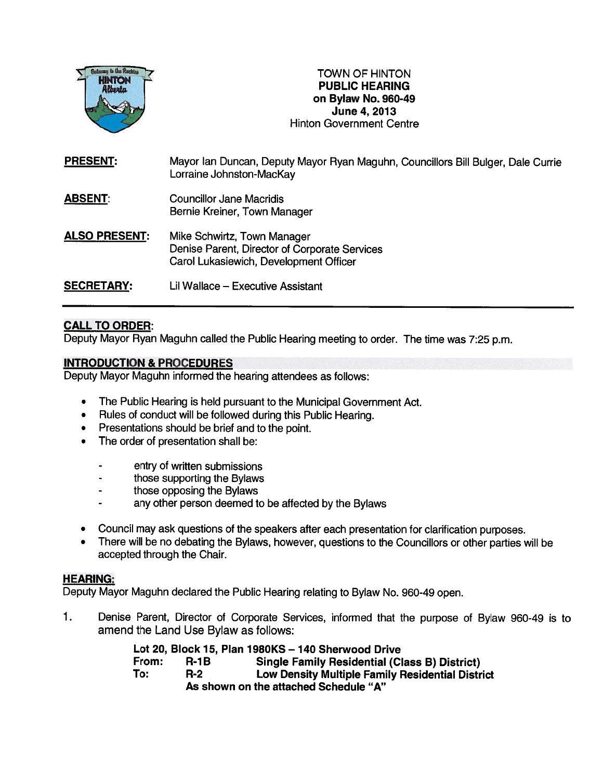

TOWN OF HINTON PUBLIC HEARING on Bylaw No. 960-49 June 4, 2013 HINTON TOWN OF HINTON<br>
Alberta Centre Centre Centre Centre Centre<br>
HINTON PUBLIC HEARING<br>
On Bylaw No. 960-49<br>
June 4, 2013<br>
Hinton Government Centre

| <b>PRESENT:</b>      | Mayor Ian Duncan, Deputy Mayor Ryan Maguhn, Councillors Bill Bulger, Dale Currie<br>Lorraine Johnston-MacKay           |
|----------------------|------------------------------------------------------------------------------------------------------------------------|
| <b>ABSENT:</b>       | Councillor Jane Macridis<br>Bernie Kreiner, Town Manager                                                               |
| <b>ALSO PRESENT:</b> | Mike Schwirtz, Town Manager<br>Denise Parent, Director of Corporate Services<br>Carol Lukasiewich, Development Officer |
| <b>SECRETARY:</b>    | Lil Wallace - Executive Assistant                                                                                      |

## CALL TO ORDER:

Deputy Mayor Ryan Maguhn called the Public Hearing meeting to order. The time was 7:25 p.m.

## INTRODUCTION & PROCEDURES

Deputy Mayor Maguhn informed the hearing attendees as follows:

- $\bullet$ The Public Hearing is held pursuan<sup>t</sup> to the Municipal Government Act.
- •Rules of conduct will be followed during this Public Hearing.
- $\bullet$ Presentations should be brief and to the point.
- • The order of presentation shall be:
	- entry of written submissions
	- those supporting the Bylaws
	- those opposing the Bylaws
	- any other person deemed to be affected by the Bylaws
- Council may ask questions of the speakers after each presentation for clarification purposes.
- • There will be no debating the Bylaws, however, questions to the Councillors or other parties will be accepted through the Chair.

## HEARING:

Deputy Mayor Maguhn declared the Public Hearing relating to Bylaw No. 960-49 open.

1. Denise Parent, Director of Corporate Services, informed that the purpose of Bylaw 960-49 is to amend the Land Use Bylaw as follows:

|       |             | Lot 20, Block 15, Plan 1980KS - 140 Sherwood Drive      |
|-------|-------------|---------------------------------------------------------|
| From: | <b>R-1B</b> | <b>Single Family Residential (Class B) District)</b>    |
| To:   | $R-2$       | <b>Low Density Multiple Family Residential District</b> |
|       |             | As shown on the attached Schedule "A"                   |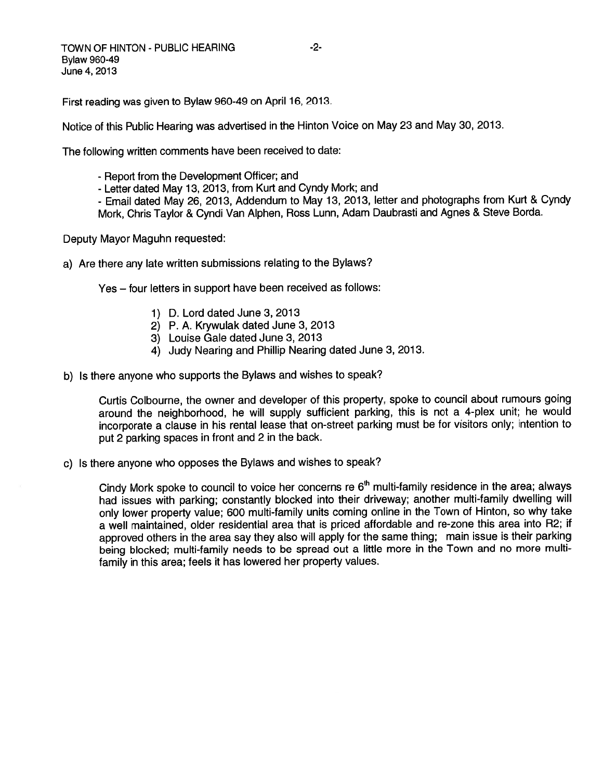First reading was <sup>g</sup>iven to Bylaw 960-49 on April 16, 2013.

Notice of this Public Hearing was advertised in the Hinton Voice on May <sup>23</sup> and May 30, 2013.

The following written comments have been received to date:

- Report from the Development Officer; and
- Letter dated May 13, 2013, from Kurt and Cyndy Mork; and

- Email dated May 26, 2013, Addendum to May 13, 2013, letter and <sup>p</sup>hotographs from Kurt & Cyndy Mork, Chris Taylor & Cyndi Van Alphen, Ross Lunn, Adam Daubrasti and Agnes & Steve Borda.

Deputy Mayor Maguhn requested:

a) Are there any late written submissions relating to the Bylaws?

Yes — four letters in suppor<sup>t</sup> have been received as follows:

- 1) D. Lord dated June 3,2013
- 2) P. A. Krywulak dated June 3, 2013
- 3) Louise Gale dated June 3, 2013
- 4) Judy Nearing and Phillip Nearing dated June 3, 2013.
- b) Is there anyone who supports the Bylaws and wishes to speak?

Curtis Colbourne, the owner and developer of this property, spoke to council about rumours going around the neighborhood, he will supply sufficient parking, this is not <sup>a</sup> 4-plex unit; he would incorporate <sup>a</sup> clause in his rental lease that on-street parking must be for visitors only; intention to pu<sup>t</sup> <sup>2</sup> parking spaces in front and <sup>2</sup> in the back.

c) Is there anyone who opposes the Bylaws and wishes to speak?

Cindy Mork spoke to council to voice her concerns re  $6<sup>th</sup>$  multi-family residence in the area; always had issues with parking; constantly blocked into their driveway; another multi-family dwelling will only lower property value; <sup>600</sup> multi-family units coming online in the Town of Hinton, so why take <sup>a</sup> well maintained, older residential area that is priced affordable and re-zone this area into R2; if approve<sup>d</sup> others in the area say they also will apply for the same thing; main issue is their parking being blocked; multi-family needs to be sprea<sup>d</sup> out <sup>a</sup> little more in the Town and no more multi family in this area; feels it has lowered her property values.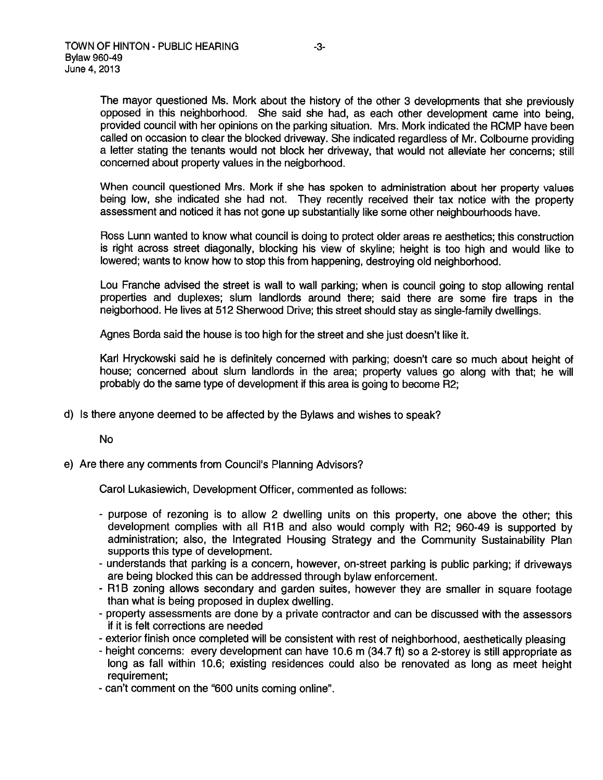The mayor questioned Ms. Mork about the history of the other <sup>3</sup> developments that she previously oppose<sup>d</sup> in this neighborhood. She said she had, as each other development came into being, provided council with her opinions on the parking situation. Mrs. Mork indicated the RCMP have been called on occasion to clear the blocked driveway. She indicated regardless of Mr. Colbourne providing <sup>a</sup> letter stating the tenants would not block her driveway, that would not alleviate her concerns; still concerned about property values in the neigborhood.

When council questioned Mrs. Mork if she has spoken to administration about her property values being low, she indicated she had not. They recently received their tax notice with the property assessment and noticed it has not gone up substantially like some other neighbourhoods have.

Ross Lunn wanted to know what council is doing to protect older areas re aesthetics; this construction is right across street diagonally, blocking his view of skyline; height is too high and would like to lowered; wants to know how to stop this from happening, destroying old neighborhood.

Lou Franche advised the street is wall to wall parking; when is council going to stop allowing rental properties and duplexes; slum landlords around there; said there are some fire traps in the neigborhood. He lives at 512 Sherwood Drive; this street should stay as single-family dwellings.

Agnes Borda said the house is too high for the street and she just doesn't like it.

Karl Hryckowski said he is definitely concerned with parking; doesn't care so much about height of house; concerned about slum landlords in the area; property values go along with that; he will probably do the same type of development if this area is going to become R2;

d) Is there anyone deemed to be affected by the Bylaws and wishes to speak?

No

e) Are there any comments from Council's Planning Advisors?

Carol Lukasiewich, Development Officer, commented as follows:

- purpose of rezoning is to allow 2 dwelling units on this property, one above the other; this development complies with all RiB and also would comply with R2; 960-49 is supported by administration; also, the Integrated Housing Strategy and the Community Sustainability Plan supports this type of development.
- understands that parking is <sup>a</sup> concern, however, on-street parking is public parking; if driveways are being blocked this can be addressed through bylaw enforcement.
- R1B zoning allows secondary and garden suites, however they are smaller in square footage than what is being proposed in duplex dwelling.
- property assessments are done by <sup>a</sup> private contractor and can be discussed with the assessors if it is felt corrections are needed
- exterior finish once completed will be consistent with rest of neighborhood, aesthetically <sup>p</sup>leasing
- height concerns: every development can have 10.6 <sup>m</sup> (34.7 ft) so <sup>a</sup> 2-storey is still appropriate as long as fall within 10.6; existing residences could also be renovated as long as meet height requirement;
- can't comment on the "600 units coming online".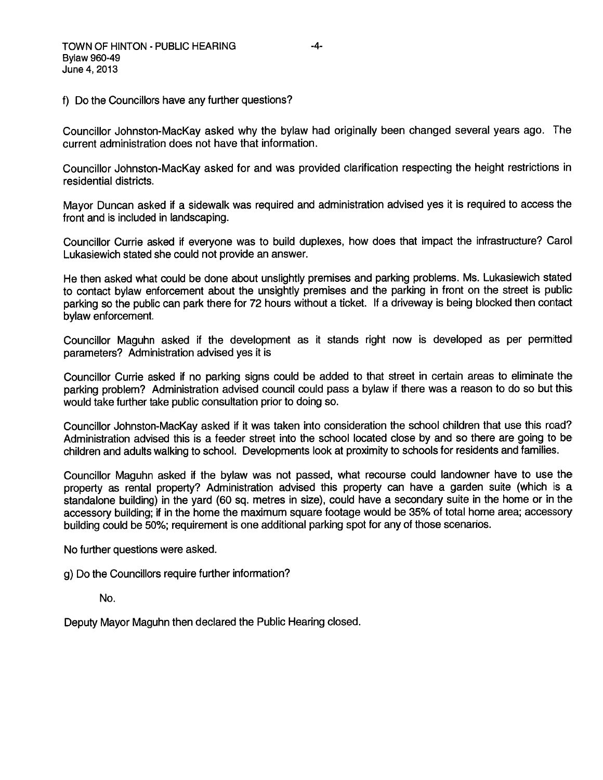f) Do the Councillors have any further questions?

Councillor Johnston-Mackay asked why the bylaw had originally been changed several years ago. The current administration does not have that information.

Councillor Johnston-MacKay asked for and was provided clarification respecting the height restrictions in residential districts.

Mayor Duncan asked if <sup>a</sup> sidewalk was required and administration advised yes it is required to access the front and is included in landscaping.

Councillor Currie asked if everyone was to build duplexes, how does that impact the infrastructure? Carol Lukasiewich stated she could not provide an answer.

He then asked what could be done about unslightly premises and parking problems. Ms. Lukasiewich stated to contact bylaw enforcement about the unsightly premises and the parking in front on the Street is public parking so the public can par<sup>k</sup> there for <sup>72</sup> hours without <sup>a</sup> ticket. If <sup>a</sup> driveway is being blocked then contact bylaw enforcement.

Councillor Maguhn asked if the development as it stands right now is developed as per permitted parameters? Administration advised yes it is

Councillor Currie asked if no parking signs could be added to that street in certain areas to eliminate the parking problem? Administration advised council could pass <sup>a</sup> bylaw if there was <sup>a</sup> reason to do so but this would take further take public consultation prior to doing so.

Councillor Johnston-Mackay asked if it was taken into consideration the school children that use this road? Administration advised this is <sup>a</sup> feeder Street into the school located close by and so there are going to be children and adults walking to school. Developments look at proximity to schools for residents and families.

Councillor Maguhn asked if the bylaw was not passed, what recourse could landowner have to use the property as rental property? Administration advised this property can have <sup>a</sup> garden suite (which is <sup>a</sup> standalone building) in the yar<sup>d</sup> (60 sq. metres in size), could have <sup>a</sup> secondary suite in the home or in the accessory building; if in the home the maximum square footage would be 35% of total home area; accessory building could be 50%; requirement is one additional parking spo<sup>t</sup> for any of those scenarios.

No further questions were asked.

g) Do the Councillors require further information?

No.

Deputy Mayor Maguhn then declared the Public Hearing closed.